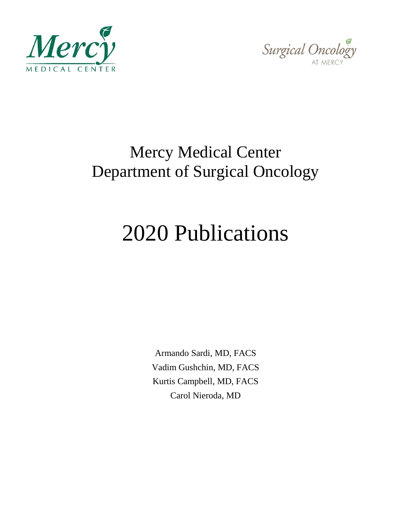



## Mercy Medical Center Department of Surgical Oncology

## 2020 Publications

Armando Sardi, MD, FACS Vadim Gushchin, MD, FACS Kurtis Campbell, MD, FACS Carol Nieroda, MD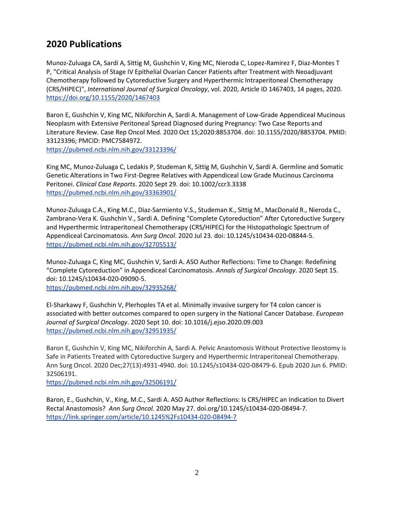## **2020 Publications**

Munoz-Zuluaga CA, Sardi A, Sittig M, Gushchin V, King MC, Nieroda C, Lopez-Ramirez F, Diaz-Montes T P, "Critical Analysis of Stage IV Epithelial Ovarian Cancer Patients after Treatment with Neoadjuvant Chemotherapy followed by Cytoreductive Surgery and Hyperthermic Intraperitoneal Chemotherapy (CRS/HIPEC)", *International Journal of Surgical Oncology*, vol. 2020, Article ID 1467403, 14 pages, 2020. <https://doi.org/10.1155/2020/1467403>

Baron E, Gushchin V, King MC, Nikiforchin A, Sardi A. Management of Low-Grade Appendiceal Mucinous Neoplasm with Extensive Peritoneal Spread Diagnosed during Pregnancy: Two Case Reports and Literature Review. Case Rep Oncol Med. 2020 Oct 15;2020:8853704. doi: 10.1155/2020/8853704. PMID: 33123396; PMCID: PMC7584972. <https://pubmed.ncbi.nlm.nih.gov/33123396/>

King MC, Munoz-Zuluaga C, Ledakis P, Studeman K, Sittig M, Gushchin V, Sardi A. Germline and Somatic Genetic Alterations in Two First-Degree Relatives with Appendiceal Low Grade Mucinous Carcinoma Peritonei. *Clinical Case Reports*. 2020 Sept 29. doi: 10.1002/ccr3.3338 <https://pubmed.ncbi.nlm.nih.gov/33363901/>

Munoz-Zuluaga C.A., King M.C., Diaz-Sarmiento V.S., Studeman K., Sittig M., MacDonald R., Nieroda C., Zambrano-Vera K. Gushchin V., Sardi A. Defining "Complete Cytoreduction" After Cytoreductive Surgery and Hyperthermic Intraperitoneal Chemotherapy (CRS/HIPEC) for the Histopathologic Spectrum of Appendiceal Carcinomatosis. *Ann Surg Oncol*. 2020 Jul 23. doi: 10.1245/s10434-020-08844-5. <https://pubmed.ncbi.nlm.nih.gov/32705513/>

Munoz-Zuluaga C, King MC, Gushchin V, Sardi A. ASO Author Reflections: Time to Change: Redefining "Complete Cytoreduction" in Appendiceal Carcinomatosis. *Annals of Surgical Oncology*. 2020 Sept 15. doi: 10.1245/s10434-020-09090-5. <https://pubmed.ncbi.nlm.nih.gov/32935268/>

El-Sharkawy F, Gushchin V, Plerhoples TA et al. Minimally invasive surgery for T4 colon cancer is associated with better outcomes compared to open surgery in the National Cancer Database. *European Journal of Surgical Oncology*. 2020 Sept 10. doi: 10.1016/j.ejso.2020.09.003 <https://pubmed.ncbi.nlm.nih.gov/32951935/>

Baron E, Gushchin V, King MC, Nikiforchin A, Sardi A. Pelvic Anastomosis Without Protective Ileostomy is Safe in Patients Treated with Cytoreductive Surgery and Hyperthermic Intraperitoneal Chemotherapy. Ann Surg Oncol. 2020 Dec;27(13):4931-4940. doi: 10.1245/s10434-020-08479-6. Epub 2020 Jun 6. PMID: 32506191.

<https://pubmed.ncbi.nlm.nih.gov/32506191/>

Baron, E., Gushchin, V., King, M.C., Sardi A. ASO Author Reflections: Is CRS/HIPEC an Indication to Divert Rectal Anastomosis? *Ann Surg Oncol.* 2020 May 27. doi.org/10.1245/s10434-020-08494-7. <https://link.springer.com/article/10.1245%2Fs10434-020-08494-7>